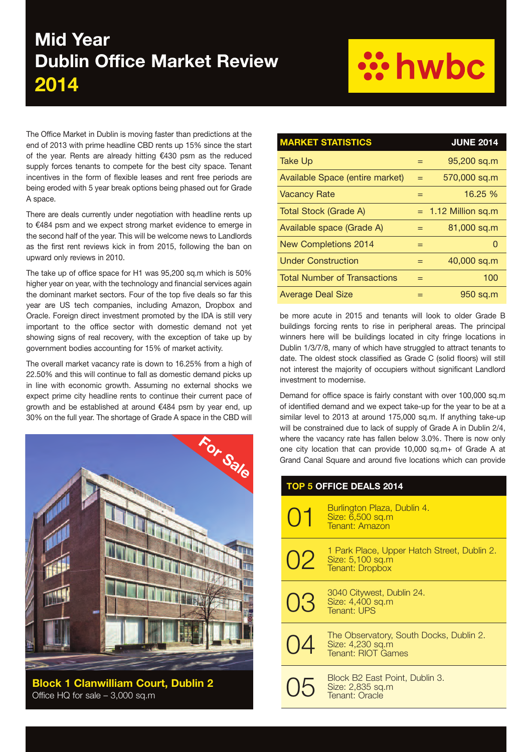### **Mid Year Dublin Office Market Review 2014**

# **: hwbc**

The Office Market in Dublin is moving faster than predictions at the end of 2013 with prime headline CBD rents up 15% since the start of the year. Rents are already hitting €430 psm as the reduced supply forces tenants to compete for the best city space. Tenant incentives in the form of flexible leases and rent free periods are being eroded with 5 year break options being phased out for Grade A space.

There are deals currently under negotiation with headline rents up to €484 psm and we expect strong market evidence to emerge in the second half of the year. This will be welcome news to Landlords as the first rent reviews kick in from 2015, following the ban on upward only reviews in 2010.

The take up of office space for H1 was 95,200 sq.m which is 50% higher year on year, with the technology and financial services again the dominant market sectors. Four of the top five deals so far this year are US tech companies, including Amazon, Dropbox and Oracle. Foreign direct investment promoted by the IDA is still very important to the office sector with domestic demand not yet showing signs of real recovery, with the exception of take up by government bodies accounting for 15% of market activity.

The overall market vacancy rate is down to 16.25% from a high of 22.50% and this will continue to fall as domestic demand picks up in line with economic growth. Assuming no external shocks we expect prime city headline rents to continue their current pace of growth and be established at around €484 psm by year end, up 30% on the full year. The shortage of Grade A space in the CBD will



**Block 1 Clanwilliam Court, Dublin 2** Office HQ for sale – 3,000 sq.m

| <b>MARKET STATISTICS</b>            |     | <b>JUNE 2014</b>      |
|-------------------------------------|-----|-----------------------|
| Take Up                             | $=$ | 95,200 sq.m           |
| Available Space (entire market)     | $=$ | 570,000 sq.m          |
| <b>Vacancy Rate</b>                 | $=$ | 16.25 %               |
| Total Stock (Grade A)               |     | $= 1.12$ Million sq.m |
| Available space (Grade A)           |     | 81,000 sq.m           |
| <b>New Completions 2014</b>         | $=$ | $\Omega$              |
| <b>Under Construction</b>           | $=$ | 40,000 sq.m           |
| <b>Total Number of Transactions</b> |     | 100                   |
| <b>Average Deal Size</b>            | $=$ | 950 sq.m              |

be more acute in 2015 and tenants will look to older Grade B buildings forcing rents to rise in peripheral areas. The principal winners here will be buildings located in city fringe locations in Dublin 1/3/7/8, many of which have struggled to attract tenants to date. The oldest stock classified as Grade C (solid floors) will still not interest the majority of occupiers without significant Landlord investment to modernise.

Demand for office space is fairly constant with over 100,000 sq.m of identified demand and we expect take-up for the year to be at a similar level to 2013 at around 175,000 sq.m. If anything take-up will be constrained due to lack of supply of Grade A in Dublin 2/4, where the vacancy rate has fallen below 3.0%. There is now only one city location that can provide 10,000 sq.m+ of Grade A at Grand Canal Square and around five locations which can provide

| <b>TOP 5 OFFICE DEALS 2014</b> |                                                                                                |  |
|--------------------------------|------------------------------------------------------------------------------------------------|--|
| $( )$ 1                        | Burlington Plaza, Dublin 4.<br>Size: 6,500 sq.m<br>Tenant: Amazon                              |  |
|                                | 1 Park Place, Upper Hatch Street, Dublin 2.<br>$O2$ Size: 5,100 sq.m<br><b>Tenant: Dropbox</b> |  |
| 03                             | 3040 Citywest, Dublin 24.<br>Size: 4,400 sq.m<br>Tenant: UPS                                   |  |
| 04                             | The Observatory, South Docks, Dublin 2.<br>Size: 4,230 sq.m<br><b>Tenant: RIOT Games</b>       |  |
|                                | Block B2 East Point, Dublin 3.<br>Size: 2,835 sq.m<br>Tenant: Oracle                           |  |